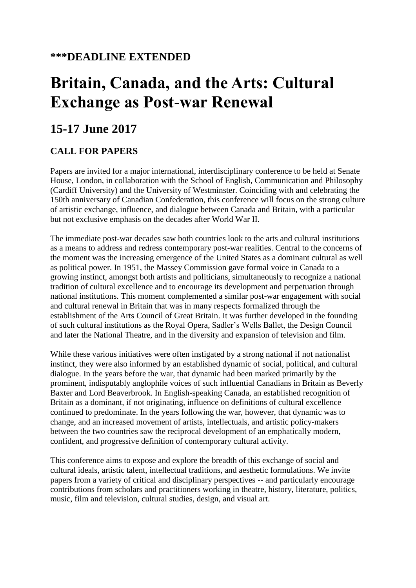# **Britain, Canada, and the Arts: Cultural Exchange as Post-war Renewal**

## **15-17 June 2017**

## **CALL FOR PAPERS**

Papers are invited for a major international, interdisciplinary conference to be held at Senate House, London, in collaboration with the School of English, Communication and Philosophy (Cardiff University) and the University of Westminster. Coinciding with and celebrating the 150th anniversary of Canadian Confederation, this conference will focus on the strong culture of artistic exchange, influence, and dialogue between Canada and Britain, with a particular but not exclusive emphasis on the decades after World War II.

The immediate post-war decades saw both countries look to the arts and cultural institutions as a means to address and redress contemporary post-war realities. Central to the concerns of the moment was the increasing emergence of the United States as a dominant cultural as well as political power. In 1951, the Massey Commission gave formal voice in Canada to a growing instinct, amongst both artists and politicians, simultaneously to recognize a national tradition of cultural excellence and to encourage its development and perpetuation through national institutions. This moment complemented a similar post-war engagement with social and cultural renewal in Britain that was in many respects formalized through the establishment of the Arts Council of Great Britain. It was further developed in the founding of such cultural institutions as the Royal Opera, Sadler's Wells Ballet, the Design Council and later the National Theatre, and in the diversity and expansion of television and film.

While these various initiatives were often instigated by a strong national if not nationalist instinct, they were also informed by an established dynamic of social, political, and cultural dialogue. In the years before the war, that dynamic had been marked primarily by the prominent, indisputably anglophile voices of such influential Canadians in Britain as Beverly Baxter and Lord Beaverbrook. In English-speaking Canada, an established recognition of Britain as a dominant, if not originating, influence on definitions of cultural excellence continued to predominate. In the years following the war, however, that dynamic was to change, and an increased movement of artists, intellectuals, and artistic policy-makers between the two countries saw the reciprocal development of an emphatically modern, confident, and progressive definition of contemporary cultural activity.

This conference aims to expose and explore the breadth of this exchange of social and cultural ideals, artistic talent, intellectual traditions, and aesthetic formulations. We invite papers from a variety of critical and disciplinary perspectives -- and particularly encourage contributions from scholars and practitioners working in theatre, history, literature, politics, music, film and television, cultural studies, design, and visual art.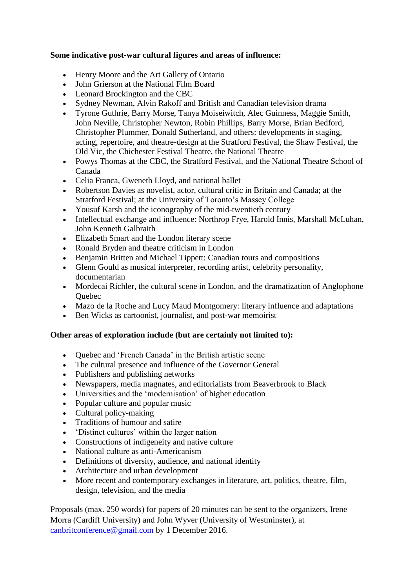### **Some indicative post-war cultural figures and areas of influence:**

- Henry Moore and the Art Gallery of Ontario
- John Grierson at the National Film Board
- Leonard Brockington and the CBC
- Sydney Newman, Alvin Rakoff and British and Canadian television drama
- Tyrone Guthrie, Barry Morse, Tanya Moiseiwitch, Alec Guinness, Maggie Smith, John Neville, Christopher Newton, Robin Phillips, Barry Morse, Brian Bedford, Christopher Plummer, Donald Sutherland, and others: developments in staging, acting, repertoire, and theatre-design at the Stratford Festival, the Shaw Festival, the Old Vic, the Chichester Festival Theatre, the National Theatre
- Powys Thomas at the CBC, the Stratford Festival, and the National Theatre School of Canada
- Celia Franca, Gweneth Lloyd, and national ballet
- Robertson Davies as novelist, actor, cultural critic in Britain and Canada; at the Stratford Festival; at the University of Toronto's Massey College
- Yousuf Karsh and the iconography of the mid-twentieth century
- Intellectual exchange and influence: Northrop Frye, Harold Innis, Marshall McLuhan, John Kenneth Galbraith
- Elizabeth Smart and the London literary scene
- Ronald Bryden and theatre criticism in London
- Benjamin Britten and Michael Tippett: Canadian tours and compositions
- Glenn Gould as musical interpreter, recording artist, celebrity personality, documentarian
- Mordecai Richler, the cultural scene in London, and the dramatization of Anglophone **Ouebec**
- Mazo de la Roche and Lucy Maud Montgomery: literary influence and adaptations
- Ben Wicks as cartoonist, journalist, and post-war memoirist

### **Other areas of exploration include (but are certainly not limited to):**

- Quebec and 'French Canada' in the British artistic scene
- The cultural presence and influence of the Governor General
- Publishers and publishing networks
- Newspapers, media magnates, and editorialists from Beaverbrook to Black
- Universities and the 'modernisation' of higher education
- Popular culture and popular music
- Cultural policy-making
- Traditions of humour and satire
- 'Distinct cultures' within the larger nation
- Constructions of indigeneity and native culture
- National culture as anti-Americanism
- Definitions of diversity, audience, and national identity
- Architecture and urban development
- More recent and contemporary exchanges in literature, art, politics, theatre, film, design, television, and the media

Proposals (max. 250 words) for papers of 20 minutes can be sent to the organizers, Irene Morra (Cardiff University) and John Wyver (University of Westminster), at canbritconference@gmail.com by 1 December 2016.